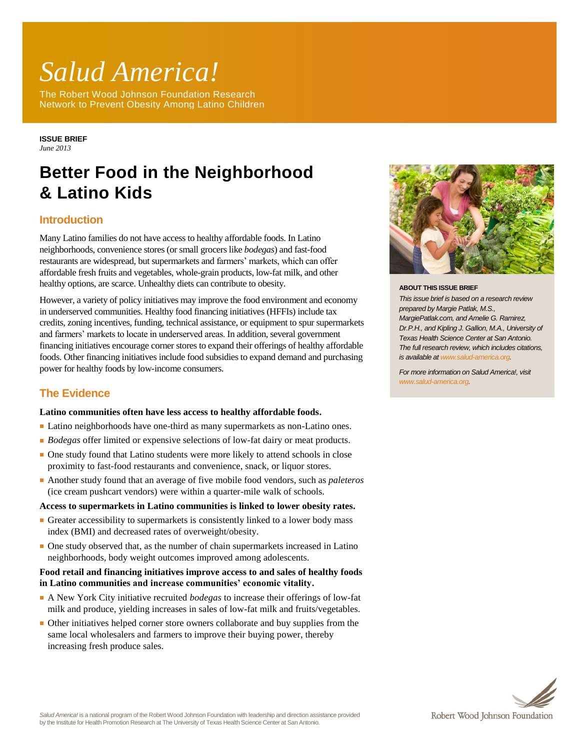# *Salud America!*

The Robert Wood Johnson Foundation Research Network to Prevent Obesity Among Latino Children

**ISSUE BRIEF** *June 2013*

# **Better Food in the Neighborhood & Latino Kids**

# **Introduction**

Many Latino families do not have access to healthy affordable foods. In Latino neighborhoods, convenience stores (or small grocers like *bodegas*) and fast-food restaurants are widespread, but supermarkets and farmers' markets, which can offer affordable fresh fruits and vegetables, whole-grain products, low-fat milk, and other healthy options, are scarce. Unhealthy diets can contribute to obesity.

However, a variety of policy initiatives may improve the food environment and economy in underserved communities. Healthy food financing initiatives (HFFIs) include tax credits, zoning incentives, funding, technical assistance, or equipment to spur supermarkets and farmers' markets to locate in underserved areas. In addition, several government financing initiatives encourage corner stores to expand their offerings of healthy affordable foods. Other financing initiatives include food subsidies to expand demand and purchasing power for healthy foods by low-income consumers.

# **The Evidence**

#### **Latino communities often have less access to healthy affordable foods.**

- Latino neighborhoods have one-third as many supermarkets as non-Latino ones.
- *Bodegas* offer limited or expensive selections of low-fat dairy or meat products.
- One study found that Latino students were more likely to attend schools in close proximity to fast-food restaurants and convenience, snack, or liquor stores.
- Another study found that an average of five mobile food vendors, such as *paleteros* (ice cream pushcart vendors) were within a quarter-mile walk of schools.

#### **Access to supermarkets in Latino communities is linked to lower obesity rates.**

- Greater accessibility to supermarkets is consistently linked to a lower body mass index (BMI) and decreased rates of overweight/obesity.
- One study observed that, as the number of chain supermarkets increased in Latino neighborhoods, body weight outcomes improved among adolescents.

### **Food retail and financing initiatives improve access to and sales of healthy foods in Latino communities and increase communities' economic vitality.**

- A New York City initiative recruited *bodegas* to increase their offerings of low-fat milk and produce, yielding increases in sales of low-fat milk and fruits/vegetables.
- Other initiatives helped corner store owners collaborate and buy supplies from the same local wholesalers and farmers to improve their buying power, thereby increasing fresh produce sales.



#### **ABOUT THIS ISSUE BRIEF**

*This issue brief is based on a research review prepared by Margie Patlak, M.S., MargiePatlak.com, and Amelie G. Ramirez, Dr.P.H., and Kipling J. Gallion, M.A., University of Texas Health Science Center at San Antonio. The full research review, which includes citations, is available a[t www.salud-america.org.](http://www.salud-america.org/)* 

*For more information on Salud America!, visit [www.salud-america.org.](http://www.salud-america.org/)*